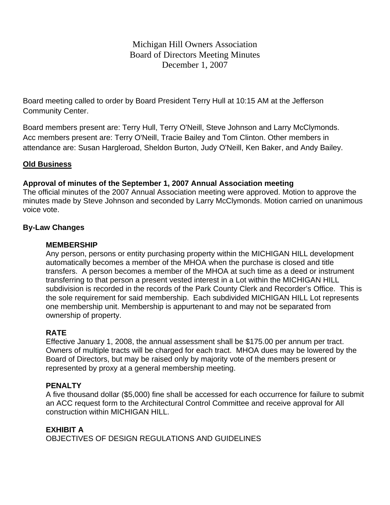Michigan Hill Owners Association Board of Directors Meeting Minutes December 1, 2007

Board meeting called to order by Board President Terry Hull at 10:15 AM at the Jefferson Community Center.

Board members present are: Terry Hull, Terry O'Neill, Steve Johnson and Larry McClymonds. Acc members present are: Terry O'Neill, Tracie Bailey and Tom Clinton. Other members in attendance are: Susan Hargleroad, Sheldon Burton, Judy O'Neill, Ken Baker, and Andy Bailey.

## **Old Business**

## **Approval of minutes of the September 1, 2007 Annual Association meeting**

The official minutes of the 2007 Annual Association meeting were approved. Motion to approve the minutes made by Steve Johnson and seconded by Larry McClymonds. Motion carried on unanimous voice vote.

## **By-Law Changes**

### **MEMBERSHIP**

Any person, persons or entity purchasing property within the MICHIGAN HILL development automatically becomes a member of the MHOA when the purchase is closed and title transfers. A person becomes a member of the MHOA at such time as a deed or instrument transferring to that person a present vested interest in a Lot within the MICHIGAN HILL subdivision is recorded in the records of the Park County Clerk and Recorder's Office. This is the sole requirement for said membership. Each subdivided MICHIGAN HILL Lot represents one membership unit. Membership is appurtenant to and may not be separated from ownership of property.

### **RATE**

Effective January 1, 2008, the annual assessment shall be \$175.00 per annum per tract. Owners of multiple tracts will be charged for each tract. MHOA dues may be lowered by the Board of Directors, but may be raised only by majority vote of the members present or represented by proxy at a general membership meeting.

### **PENALTY**

A five thousand dollar (\$5,000) fine shall be accessed for each occurrence for failure to submit an ACC request form to the Architectural Control Committee and receive approval for All construction within MICHIGAN HILL.

# **EXHIBIT A**

OBJECTIVES OF DESIGN REGULATIONS AND GUIDELINES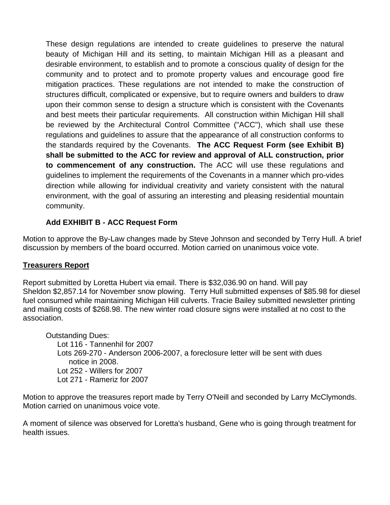These design regulations are intended to create guidelines to preserve the natural beauty of Michigan Hill and its setting, to maintain Michigan Hill as a pleasant and desirable environment, to establish and to promote a conscious quality of design for the community and to protect and to promote property values and encourage good fire mitigation practices. These regulations are not intended to make the construction of structures difficult, complicated or expensive, but to require owners and builders to draw upon their common sense to design a structure which is consistent with the Covenants and best meets their particular requirements. All construction within Michigan Hill shall be reviewed by the Architectural Control Committee ("ACC"), which shall use these regulations and guidelines to assure that the appearance of all construction conforms to the standards required by the Covenants. **The ACC Request Form (see Exhibit B) shall be submitted to the ACC for review and approval of ALL construction, prior to commencement of any construction.** The ACC will use these regulations and guidelines to implement the requirements of the Covenants in a manner which pro-vides direction while allowing for individual creativity and variety consistent with the natural environment, with the goal of assuring an interesting and pleasing residential mountain community.

# **Add EXHIBIT B - ACC Request Form**

Motion to approve the By-Law changes made by Steve Johnson and seconded by Terry Hull. A brief discussion by members of the board occurred. Motion carried on unanimous voice vote.

# **Treasurers Report**

Report submitted by Loretta Hubert via email. There is \$32,036.90 on hand. Will pay Sheldon \$2,857.14 for November snow plowing. Terry Hull submitted expenses of \$85.98 for diesel fuel consumed while maintaining Michigan Hill culverts. Tracie Bailey submitted newsletter printing and mailing costs of \$268.98. The new winter road closure signs were installed at no cost to the association.

Outstanding Dues: Lot 116 - Tannenhil for 2007 Lots 269-270 - Anderson 2006-2007, a foreclosure letter will be sent with dues notice in 2008. Lot 252 - Willers for 2007 Lot 271 - Rameriz for 2007

Motion to approve the treasures report made by Terry O'Neill and seconded by Larry McClymonds. Motion carried on unanimous voice vote.

A moment of silence was observed for Loretta's husband, Gene who is going through treatment for health issues.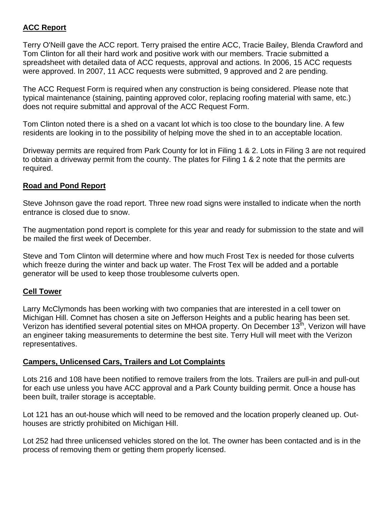# **ACC Report**

Terry O'Neill gave the ACC report. Terry praised the entire ACC, Tracie Bailey, Blenda Crawford and Tom Clinton for all their hard work and positive work with our members. Tracie submitted a spreadsheet with detailed data of ACC requests, approval and actions. In 2006, 15 ACC requests were approved. In 2007, 11 ACC requests were submitted, 9 approved and 2 are pending.

The ACC Request Form is required when any construction is being considered. Please note that typical maintenance (staining, painting approved color, replacing roofing material with same, etc.) does not require submittal and approval of the ACC Request Form.

Tom Clinton noted there is a shed on a vacant lot which is too close to the boundary line. A few residents are looking in to the possibility of helping move the shed in to an acceptable location.

Driveway permits are required from Park County for lot in Filing 1 & 2. Lots in Filing 3 are not required to obtain a driveway permit from the county. The plates for Filing 1 & 2 note that the permits are required.

# **Road and Pond Report**

Steve Johnson gave the road report. Three new road signs were installed to indicate when the north entrance is closed due to snow.

The augmentation pond report is complete for this year and ready for submission to the state and will be mailed the first week of December.

Steve and Tom Clinton will determine where and how much Frost Tex is needed for those culverts which freeze during the winter and back up water. The Frost Tex will be added and a portable generator will be used to keep those troublesome culverts open.

# **Cell Tower**

Larry McClymonds has been working with two companies that are interested in a cell tower on Michigan Hill. Comnet has chosen a site on Jefferson Heights and a public hearing has been set. Verizon has identified several potential sites on MHOA property. On December  $13<sup>th</sup>$ , Verizon will have an engineer taking measurements to determine the best site. Terry Hull will meet with the Verizon representatives.

### **Campers, Unlicensed Cars, Trailers and Lot Complaints**

Lots 216 and 108 have been notified to remove trailers from the lots. Trailers are pull-in and pull-out for each use unless you have ACC approval and a Park County building permit. Once a house has been built, trailer storage is acceptable.

Lot 121 has an out-house which will need to be removed and the location properly cleaned up. Outhouses are strictly prohibited on Michigan Hill.

Lot 252 had three unlicensed vehicles stored on the lot. The owner has been contacted and is in the process of removing them or getting them properly licensed.